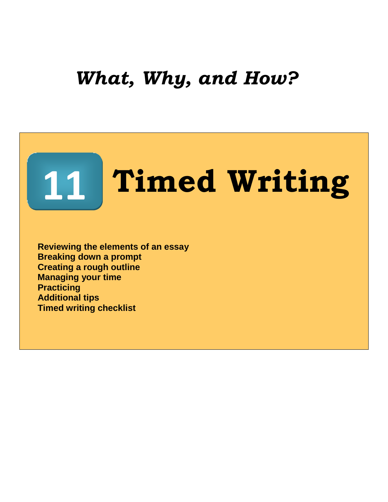## *What, Why, and How?*

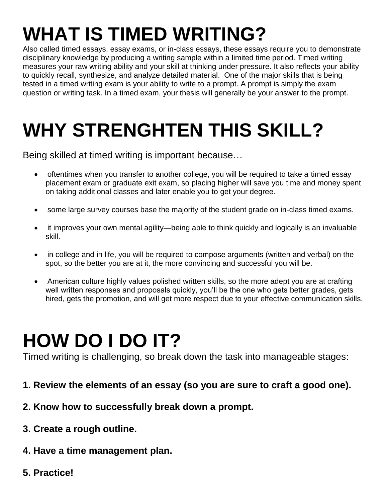# **WHAT IS TIMED WRITING?**

Also called timed essays, essay exams, or in-class essays, these essays require you to demonstrate disciplinary knowledge by producing a writing sample within a limited time period. Timed writing measures your raw writing ability and your skill at thinking under pressure. It also reflects your ability to quickly recall, synthesize, and analyze detailed material. One of the major skills that is being tested in a timed writing exam is your ability to write to a prompt. A prompt is simply the exam question or writing task. In a timed exam, your thesis will generally be your answer to the prompt.

# **WHY STRENGHTEN THIS SKILL?**

Being skilled at timed writing is important because…

- oftentimes when you transfer to another college, you will be required to take a timed essay placement exam or graduate exit exam, so placing higher will save you time and money spent on taking additional classes and later enable you to get your degree.
- some large survey courses base the majority of the student grade on in-class timed exams.
- it improves your own mental agility—being able to think quickly and logically is an invaluable skill.
- in college and in life, you will be required to compose arguments (written and verbal) on the spot, so the better you are at it, the more convincing and successful you will be.
- American culture highly values polished written skills, so the more adept you are at crafting well written responses and proposals quickly, you'll be the one who gets better grades, gets hired, gets the promotion, and will get more respect due to your effective communication skills.

## **HOW DO I DO IT?**

Timed writing is challenging, so break down the task into manageable stages:

- **1. Review the elements of an essay (so you are sure to craft a good one).**
- **2. Know how to successfully break down a prompt.**
- **3. Create a rough outline.**
- **4. Have a time management plan.**
- **5. Practice!**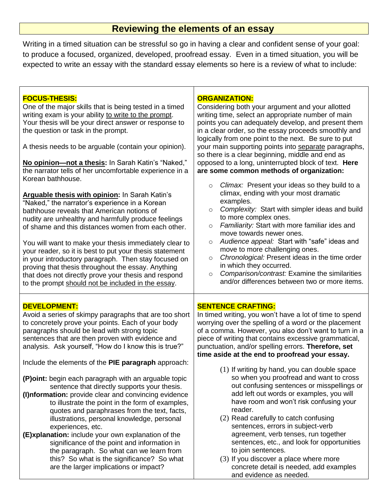## **Reviewing the elements of an essay**

Writing in a timed situation can be stressful so go in having a clear and confident sense of your goal: to produce a focused, organized, developed, proofread essay. Even in a timed situation, you will be expected to write an essay with the standard essay elements so here is a review of what to include:

 $\Gamma$ 

| <b>FOCUS-THESIS:</b><br>One of the major skills that is being tested in a timed<br>writing exam is your ability to write to the prompt.<br>Your thesis will be your direct answer or response to<br>the question or task in the prompt.<br>A thesis needs to be arguable (contain your opinion).<br>No opinion-not a thesis: In Sarah Katin's "Naked,"<br>the narrator tells of her uncomfortable experience in a<br>Korean bathhouse.                                                                                                                                                                       | <b>ORGANIZATION:</b><br>Considering both your argument and your allotted<br>writing time, select an appropriate number of main<br>points you can adequately develop, and present them<br>in a clear order, so the essay proceeds smoothly and<br>logically from one point to the next. Be sure to put<br>your main supporting points into separate paragraphs,<br>so there is a clear beginning, middle and end as<br>opposed to a long, uninterrupted block of text. Here<br>are some common methods of organization:                                                                           |
|--------------------------------------------------------------------------------------------------------------------------------------------------------------------------------------------------------------------------------------------------------------------------------------------------------------------------------------------------------------------------------------------------------------------------------------------------------------------------------------------------------------------------------------------------------------------------------------------------------------|--------------------------------------------------------------------------------------------------------------------------------------------------------------------------------------------------------------------------------------------------------------------------------------------------------------------------------------------------------------------------------------------------------------------------------------------------------------------------------------------------------------------------------------------------------------------------------------------------|
| Arguable thesis with opinion: In Sarah Katin's<br>"Naked," the narrator's experience in a Korean<br>bathhouse reveals that American notions of<br>nudity are unhealthy and harmfully produce feelings<br>of shame and this distances women from each other.<br>You will want to make your thesis immediately clear to<br>your reader, so it is best to put your thesis statement<br>in your introductory paragraph. Then stay focused on<br>proving that thesis throughout the essay. Anything<br>that does not directly prove your thesis and respond<br>to the prompt should not be included in the essay. | Climax: Present your ideas so they build to a<br>$\circ$<br>climax, ending with your most dramatic<br>examples.<br>Complexity: Start with simpler ideas and build<br>$\circ$<br>to more complex ones.<br>Familiarity: Start with more familiar ides and<br>$\circ$<br>move towards newer ones.<br>Audience appeal: Start with "safe" ideas and<br>$\circ$<br>move to more challenging ones.<br>Chronological: Present ideas in the time order<br>$\circ$<br>in which they occurred.<br>Comparison/contrast: Examine the similarities<br>$\circ$<br>and/or differences between two or more items. |
| <b>DEVELOPMENT:</b><br>Avoid a series of skimpy paragraphs that are too short<br>to concretely prove your points. Each of your body<br>paragraphs should be lead with strong topic<br>sentences that are then proven with evidence and<br>analysis. Ask yourself, "How do I know this is true?"<br>Include the elements of the PIE paragraph approach:                                                                                                                                                                                                                                                       | <b>SENTENCE CRAFTING:</b><br>In timed writing, you won't have a lot of time to spend<br>worrying over the spelling of a word or the placement<br>of a comma. However, you also don't want to turn in a<br>piece of writing that contains excessive grammatical,<br>punctuation, and/or spelling errors. Therefore, set<br>time aside at the end to proofread your essay.                                                                                                                                                                                                                         |
| (P) oint: begin each paragraph with an arguable topic<br>sentence that directly supports your thesis.<br>(I) nformation: provide clear and convincing evidence<br>to illustrate the point in the form of examples,<br>quotes and paraphrases from the text, facts,<br>illustrations, personal knowledge, personal<br>experiences, etc.<br>(E)xplanation: include your own explanation of the<br>significance of the point and information in<br>the paragraph. So what can we learn from<br>this? So what is the significance? So what<br>are the larger implications or impact?                             | (1) If writing by hand, you can double space<br>so when you proofread and want to cross<br>out confusing sentences or misspellings or<br>add left out words or examples, you will<br>have room and won't risk confusing your<br>reader.<br>(2) Read carefully to catch confusing<br>sentences, errors in subject-verb<br>agreement, verb tenses, run together<br>sentences, etc., and look for opportunities<br>to join sentences.<br>(3) If you discover a place where more<br>concrete detail is needed, add examples<br>and evidence as needed.                                               |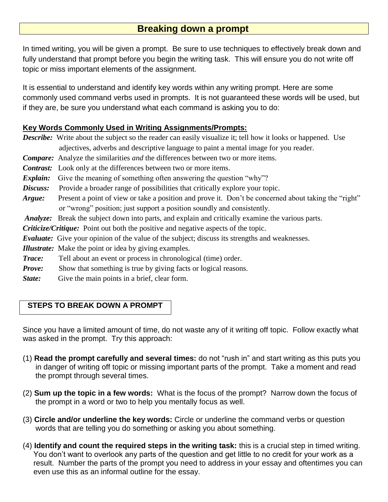## **Breaking down a prompt**

In timed writing, you will be given a prompt. Be sure to use techniques to effectively break down and fully understand that prompt before you begin the writing task. This will ensure you do not write off topic or miss important elements of the assignment.

It is essential to understand and identify key words within any writing prompt. Here are some commonly used command verbs used in prompts. It is not guaranteed these words will be used, but if they are, be sure you understand what each command is asking you to do:

#### **Key Words Commonly Used in Writing Assignments/Prompts:**

*Describe:* Write about the subject so the reader can easily visualize it; tell how it looks or happened. Use adjectives, adverbs and descriptive language to paint a mental image for you reader.

- *Compare:* Analyze the similarities *and* the differences between two or more items.
- *Contrast:* Look only at the differences between two or more items.
- **Explain:** Give the meaning of something often answering the question "why"?
- *Discuss:* Provide a broader range of possibilities that critically explore your topic.
- *Argue:* Present a point of view or take a position and prove it. Don't be concerned about taking the "right" or "wrong" position; just support a position soundly and consistently.
- *Analyze:* Break the subject down into parts, and explain and critically examine the various parts.
- *Criticize/Critique:* Point out both the positive and negative aspects of the topic.
- *Evaluate:* Give your opinion of the value of the subject; discuss its strengths and weaknesses.
- *Illustrate:* Make the point or idea by giving examples.
- *Trace:* Tell about an event or process in chronological (time) order.
- *Prove:* Show that something is true by giving facts or logical reasons.
- *State:* Give the main points in a brief, clear form.

#### **STEPS TO BREAK DOWN A PROMPT**

Since you have a limited amount of time, do not waste any of it writing off topic. Follow exactly what was asked in the prompt. Try this approach:

- (1) **Read the prompt carefully and several times:** do not "rush in" and start writing as this puts you in danger of writing off topic or missing important parts of the prompt. Take a moment and read the prompt through several times.
- (2) **Sum up the topic in a few words:** What is the focus of the prompt? Narrow down the focus of the prompt in a word or two to help you mentally focus as well.
- (3) **Circle and/or underline the key words:** Circle or underline the command verbs or question words that are telling you do something or asking you about something.
- (4) **Identify and count the required steps in the writing task:** this is a crucial step in timed writing. You don't want to overlook any parts of the question and get little to no credit for your work as a result. Number the parts of the prompt you need to address in your essay and oftentimes you can even use this as an informal outline for the essay.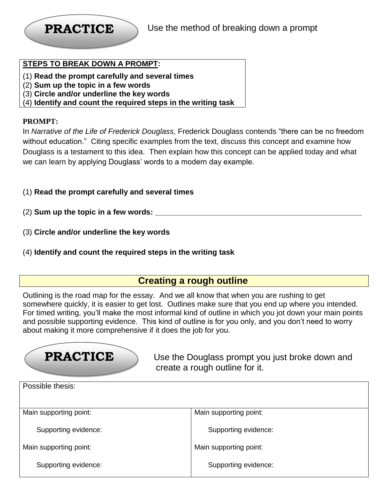

#### **STEPS TO BREAK DOWN A PROMPT:**

- (1) **Read the prompt carefully and several times**
- (2) **Sum up the topic in a few words**
- (3) **Circle and/or underline the key words**
- (4) **Identify and count the required steps in the writing task**

#### **PROMPT:**

In *Narrative of the Life of Frederick Douglass,* Frederick Douglass contends "there can be no freedom without education." Citing specific examples from the text, discuss this concept and examine how Douglass is a testament to this idea. Then explain how this concept can be applied today and what we can learn by applying Douglass' words to a modern day example.

- (1) **Read the prompt carefully and several times**
- (2) **Sum up the topic in a few words: \_\_\_\_\_\_\_\_\_\_\_\_\_\_\_\_\_\_\_\_\_\_\_\_\_\_\_\_\_\_\_\_\_\_\_\_\_\_\_\_\_\_\_\_\_\_\_\_\_**
	- (3) **Circle and/or underline the key words**
	- (4) **Identify and count the required steps in the writing task**

### **Creating a rough outline**

Outlining is the road map for the essay. And we all know that when you are rushing to get somewhere quickly, it is easier to get lost. Outlines make sure that you end up where you intended. For timed writing, you'll make the most informal kind of outline in which you jot down your main points and possible supporting evidence. This kind of outline is for you only, and you don't need to worry about making it more comprehensive if it does the job for you.

## **PRACTICE**

 Use the Douglass prompt you just broke down and create a rough outline for it.

| Possible thesis:       |                        |  |
|------------------------|------------------------|--|
|                        |                        |  |
| Main supporting point: | Main supporting point: |  |
| Supporting evidence:   | Supporting evidence:   |  |
| Main supporting point: | Main supporting point: |  |
| Supporting evidence:   | Supporting evidence:   |  |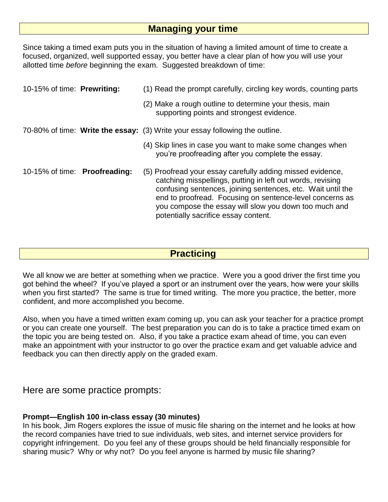### **Managing your time**

Since taking a timed exam puts you in the situation of having a limited amount of time to create a focused, organized, well supported essay, you better have a clear plan of how you will use your allotted time *before* beginning the exam. Suggested breakdown of time:

| 10-15% of time: Prewriting:   | (1) Read the prompt carefully, circling key words, counting parts                                                                                                                                                                                                                                                                                    |
|-------------------------------|------------------------------------------------------------------------------------------------------------------------------------------------------------------------------------------------------------------------------------------------------------------------------------------------------------------------------------------------------|
|                               | (2) Make a rough outline to determine your thesis, main<br>supporting points and strongest evidence.                                                                                                                                                                                                                                                 |
|                               | 70-80% of time: Write the essay: (3) Write your essay following the outline.                                                                                                                                                                                                                                                                         |
|                               | (4) Skip lines in case you want to make some changes when<br>you're proofreading after you complete the essay.                                                                                                                                                                                                                                       |
| 10-15% of time: Proofreading: | (5) Proofread your essay carefully adding missed evidence,<br>catching misspellings, putting in left out words, revising<br>confusing sentences, joining sentences, etc. Wait until the<br>end to proofread. Focusing on sentence-level concerns as<br>you compose the essay will slow you down too much and<br>potentially sacrifice essay content. |

## **Practicing**

We all know we are better at something when we practice. Were you a good driver the first time you got behind the wheel? If you've played a sport or an instrument over the years, how were your skills when you first started? The same is true for timed writing. The more you practice, the better, more confident, and more accomplished you become.

Also, when you have a timed written exam coming up, you can ask your teacher for a practice prompt or you can create one yourself. The best preparation you can do is to take a practice timed exam on the topic you are being tested on. Also, if you take a practice exam ahead of time, you can even make an appointment with your instructor to go over the practice exam and get valuable advice and feedback you can then directly apply on the graded exam.

Here are some practice prompts:

#### **Prompt—English 100 in-class essay (30 minutes)**

In his book, Jim Rogers explores the issue of music file sharing on the internet and he looks at how the record companies have tried to sue individuals, web sites, and internet service providers for copyright infringement. Do you feel any of these groups should be held financially responsible for sharing music? Why or why not? Do you feel anyone is harmed by music file sharing?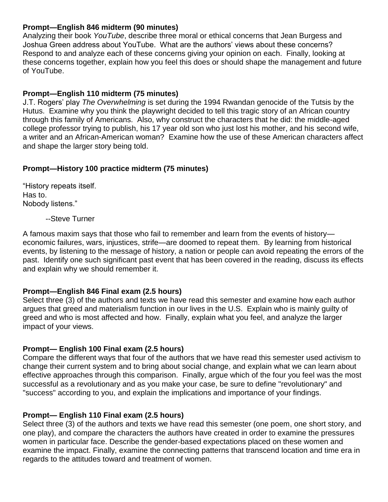#### **Prompt—English 846 midterm (90 minutes)**

Analyzing their book *YouTube*, describe three moral or ethical concerns that Jean Burgess and Joshua Green address about YouTube. What are the authors' views about these concerns? Respond to and analyze each of these concerns giving your opinion on each. Finally, looking at these concerns together, explain how you feel this does or should shape the management and future of YouTube.

#### **Prompt—English 110 midterm (75 minutes)**

J.T. Rogers' play *The Overwhelming* is set during the 1994 Rwandan genocide of the Tutsis by the Hutus. Examine why you think the playwright decided to tell this tragic story of an African country through this family of Americans. Also, why construct the characters that he did: the middle-aged college professor trying to publish, his 17 year old son who just lost his mother, and his second wife, a writer and an African-American woman? Examine how the use of these American characters affect and shape the larger story being told.

#### **Prompt—History 100 practice midterm (75 minutes)**

"History repeats itself. Has to. Nobody listens."

--Steve Turner

A famous maxim says that those who fail to remember and learn from the events of history economic failures, wars, injustices, strife—are doomed to repeat them. By learning from historical events, by listening to the message of history, a nation or people can avoid repeating the errors of the past. Identify one such significant past event that has been covered in the reading, discuss its effects and explain why we should remember it.

#### **Prompt—English 846 Final exam (2.5 hours)**

Select three (3) of the authors and texts we have read this semester and examine how each author argues that greed and materialism function in our lives in the U.S. Explain who is mainly guilty of greed and who is most affected and how. Finally, explain what you feel, and analyze the larger impact of your views.

#### **Prompt— English 100 Final exam (2.5 hours)**

Compare the different ways that four of the authors that we have read this semester used activism to change their current system and to bring about social change, and explain what we can learn about effective approaches through this comparison. Finally, argue which of the four you feel was the most successful as a revolutionary and as you make your case, be sure to define "revolutionary" and "success" according to you, and explain the implications and importance of your findings.

#### **Prompt— English 110 Final exam (2.5 hours)**

Select three (3) of the authors and texts we have read this semester (one poem, one short story, and one play), and compare the characters the authors have created in order to examine the pressures women in particular face. Describe the gender-based expectations placed on these women and examine the impact. Finally, examine the connecting patterns that transcend location and time era in regards to the attitudes toward and treatment of women.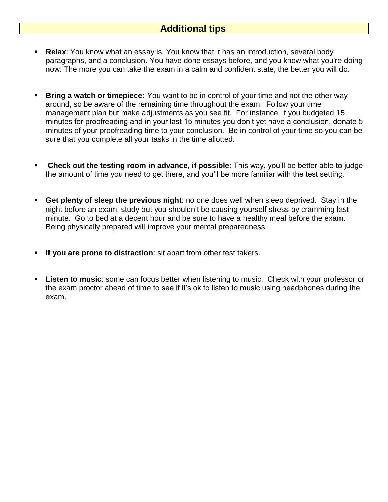### **Additional tips**

- **Relax**: You know what an essay is. You know that it has an introduction, several body paragraphs, and a conclusion. You have done essays before, and you know what you're doing now. The more you can take the exam in a calm and confident state, the better you will do.
- **Bring a watch or timepiece:** You want to be in control of your time and not the other way around, so be aware of the remaining time throughout the exam. Follow your time management plan but make adjustments as you see fit. For instance, if you budgeted 15 minutes for proofreading and in your last 15 minutes you don't yet have a conclusion, donate 5 minutes of your proofreading time to your conclusion. Be in control of your time so you can be sure that you complete all your tasks in the time allotted.
- **Check out the testing room in advance, if possible**: This way, you'll be better able to judge the amount of time you need to get there, and you'll be more familiar with the test setting.
- **Get plenty of sleep the previous night**: no one does well when sleep deprived. Stay in the night before an exam, study but you shouldn't be causing yourself stress by cramming last minute. Go to bed at a decent hour and be sure to have a healthy meal before the exam. Being physically prepared will improve your mental preparedness.
- **If you are prone to distraction**: sit apart from other test takers.
- **Listen to music**: some can focus better when listening to music. Check with your professor or the exam proctor ahead of time to see if it's ok to listen to music using headphones during the exam.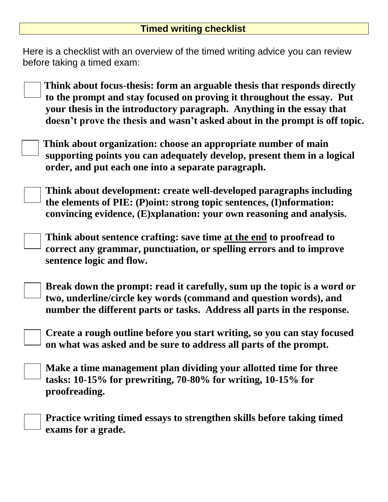Here is a checklist with an overview of the timed writing advice you can review before taking a timed exam:

| Think about focus-thesis: form an arguable thesis that responds directly                        |
|-------------------------------------------------------------------------------------------------|
| $\overline{\phantom{a}}$ to the prompt and stay focused on proving it throughout the essay. Put |
| your thesis in the introductory paragraph. Anything in the essay that                           |
| doesn't prove the thesis and wasn't asked about in the prompt is off topic.                     |

 **Think about organization: choose an appropriate number of main supporting points you can adequately develop, present them in a logical order, and put each one into a separate paragraph.**

 **Think about development: create well-developed paragraphs including the elements of PIE: (P)oint: strong topic sentences, (I)nformation: convincing evidence, (E)xplanation: your own reasoning and analysis.**

 **Think about sentence crafting: save time at the end to proofread to correct any grammar, punctuation, or spelling errors and to improve sentence logic and flow.**

**Break down the prompt: read it carefully, sum up the topic is a word or two, underline/circle key words (command and question words), and number the different parts or tasks. Address all parts in the response.**

**Create a rough outline before you start writing, so you can stay focused on what was asked and be sure to address all parts of the prompt.**

**Make a time management plan dividing your allotted time for three tasks: 10-15% for prewriting, 70-80% for writing, 10-15% for proofreading.**

 **Practice writing timed essays to strengthen skills before taking timed exams for a grade.**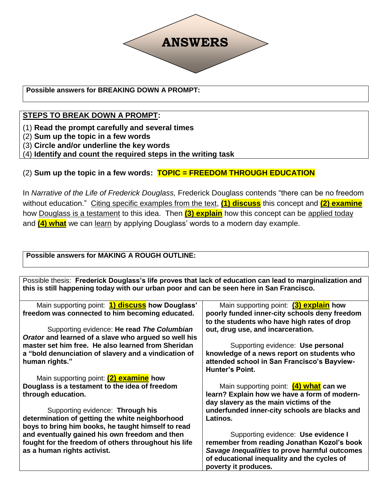

#### **Possible answers for BREAKING DOWN A PROMPT:**

#### **STEPS TO BREAK DOWN A PROMPT:**

(1) **Read the prompt carefully and several times**

(2) **Sum up the topic in a few words**

(3) **Circle and/or underline the key words**

(4) **Identify and count the required steps in the writing task**

#### (2) **Sum up the topic in a few words: TOPIC = FREEDOM THROUGH EDUCATION**

In *Narrative of the Life of Frederick Douglass,* Frederick Douglass contends "there can be no freedom without education." Citing specific examples from the text, **(1) discuss** this concept and **(2) examine** how Douglass is a testament to this idea. Then **(3) explain** how this concept can be applied today and **(4) what** we can learn by applying Douglass' words to a modern day example.

**Possible answers for MAKING A ROUGH OUTLINE:**

Possible thesis: **Frederick Douglass's life proves that lack of education can lead to marginalization and this is still happening today with our urban poor and can be seen here in San Francisco.**

| Main supporting point: <b>1) discuss</b> how Douglass' | Main supporting point: (3) explain how        |
|--------------------------------------------------------|-----------------------------------------------|
| freedom was connected to him becoming educated.        | poorly funded inner-city schools deny freedom |
|                                                        | to the students who have high rates of drop   |
| Supporting evidence: He read The Columbian             | out, drug use, and incarceration.             |
| Orator and learned of a slave who argued so well his   |                                               |
| master set him free. He also learned from Sheridan     | Supporting evidence: Use personal             |
| a "bold denunciation of slavery and a vindication of   | knowledge of a news report on students who    |
| human rights."                                         | attended school in San Francisco's Bayview-   |
|                                                        | <b>Hunter's Point.</b>                        |
| Main supporting point: (2) examine how                 |                                               |
| Douglass is a testament to the idea of freedom         | Main supporting point: (4) what can we        |
| through education.                                     | learn? Explain how we have a form of modern-  |
|                                                        | day slavery as the main victims of the        |
| Supporting evidence: Through his                       | underfunded inner-city schools are blacks and |
| determination of getting the white neighborhood        | Latinos.                                      |
| boys to bring him books, he taught himself to read     |                                               |
| and eventually gained his own freedom and then         | Supporting evidence: Use evidence I           |
| fought for the freedom of others throughout his life   | remember from reading Jonathan Kozol's book   |
| as a human rights activist.                            | Savage Inequalities to prove harmful outcomes |
|                                                        | of educational inequality and the cycles of   |
|                                                        | poverty it produces.                          |
|                                                        |                                               |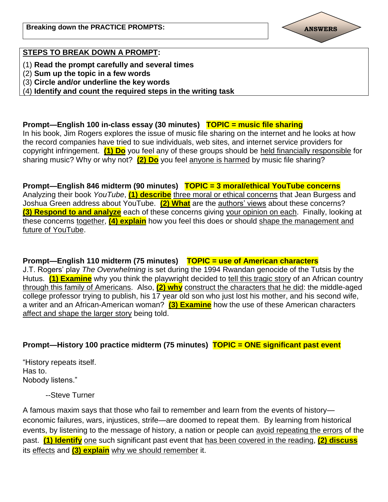

#### **STEPS TO BREAK DOWN A PROMPT:**

- (1) **Read the prompt carefully and several times**
- (2) **Sum up the topic in a few words**
- (3) **Circle and/or underline the key words**

(4) **Identify and count the required steps in the writing task**

**Prompt—English 100 in-class essay (30 minutes) TOPIC = music file sharing** In his book, Jim Rogers explores the issue of music file sharing on the internet and he looks at how the record companies have tried to sue individuals, web sites, and internet service providers for copyright infringement. **(1) Do** you feel any of these groups should be held financially responsible for sharing music? Why or why not? **(2) Do** you feel anyone is harmed by music file sharing?

**Prompt—English 846 midterm (90 minutes) TOPIC = 3 moral/ethical YouTube concerns** Analyzing their book *YouTube*, **(1) describe** three moral or ethical concerns that Jean Burgess and Joshua Green address about YouTube. **(2) What** are the authors' views about these concerns? **(3) Respond to and analyze** each of these concerns giving your opinion on each. Finally, looking at these concerns together, **(4) explain** how you feel this does or should shape the management and future of YouTube.

**Prompt—English 110 midterm (75 minutes) TOPIC = use of American characters** J.T. Rogers' play *The Overwhelming* is set during the 1994 Rwandan genocide of the Tutsis by the Hutus. **(1) Examine** why you think the playwright decided to tell this tragic story of an African country through this family of Americans. Also, **(2) why** construct the characters that he did: the middle-aged college professor trying to publish, his 17 year old son who just lost his mother, and his second wife, a writer and an African-American woman? **(3) Examine** how the use of these American characters affect and shape the larger story being told.

#### **Prompt—History 100 practice midterm (75 minutes) TOPIC = ONE significant past event**

"History repeats itself. Has to. Nobody listens."

--Steve Turner

A famous maxim says that those who fail to remember and learn from the events of history economic failures, wars, injustices, strife—are doomed to repeat them. By learning from historical events, by listening to the message of history, a nation or people can avoid repeating the errors of the past. **(1) Identify** one such significant past event that has been covered in the reading, **(2) discuss** its effects and **(3) explain** why we should remember it.